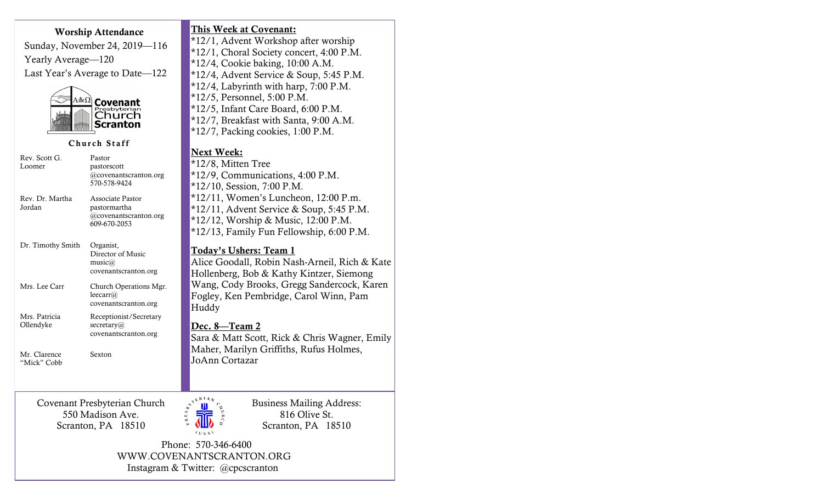## **Worship Attendance**

Sunday, November 24, 2019—116 Yearly Average—120 Last Year's Average to Date—122



## **Church Staff**

| Rev. Scott G.<br>Loomer<br>Rev. Dr. Martha<br>Jordan                                                            | Pastor<br>pastorscott<br>@covenantscranton.org<br>570-578-9424<br><b>Associate Pastor</b><br>pastormartha<br>@covenantscranton.org<br>609-670-2053 |  | <u>ine:</u><br>$*12$<br>$*12$<br>$*12$<br>$*12$<br>$*12$<br>$*12$<br>$*12$ |  |
|-----------------------------------------------------------------------------------------------------------------|----------------------------------------------------------------------------------------------------------------------------------------------------|--|----------------------------------------------------------------------------|--|
| Dr. Timothy Smith                                                                                               | Organist,<br>Director of Music<br>music@<br>covenantscranton.org                                                                                   |  | Too<br>Ali<br>Ho                                                           |  |
| Mrs. Lee Carr                                                                                                   | Church Operations Mgr.<br>leccarr(a)<br>covenantscranton.org                                                                                       |  | Wa<br>Foş<br>Hu                                                            |  |
| Mrs. Patricia<br>Ollendyke                                                                                      | Receptionist/Secretary<br>secretary $(a)$<br>covenantscranton.org                                                                                  |  | <u>De</u><br>Sar                                                           |  |
| Mr. Clarence<br>"Mick" Cobb                                                                                     | Sexton                                                                                                                                             |  | Ma<br>JoA                                                                  |  |
| $\mathcal{L}^{\mathcal{L}^{\mathcal{R}^{\mathcal{R}^{\mathcal{R}}}}}$<br>Covenant Presbyterian Church<br>$\sim$ |                                                                                                                                                    |  |                                                                            |  |

550 Madison Ave. Scranton, PA 18510

#### **This Week at Covenant:**

\*12/1, Advent Workshop after worship \*12/1, Choral Society concert, 4:00 P.M. \*12/4, Cookie baking, 10:00 A.M. \*12/4, Advent Service & Soup, 5:45 P.M.  $*12/4$ , Labyrinth with harp, 7:00 P.M. \*12/5, Personnel, 5:00 P.M. \*12/5, Infant Care Board, 6:00 P.M. \*12/7, Breakfast with Santa, 9:00 A.M. \*12/7, Packing cookies, 1:00 P.M.

## **Next Week:**

2/8, Mitten Tree 2/9, Communications, 4:00 P.M.  $2/10$ , Session, 7:00 P.M.  $2/11$ , Women's Luncheon,  $12:00$  P.m.  $2/11$ , Advent Service & Soup, 5:45 P.M. 2/12, Worship & Music, 12:00 P.M.  $2/13$ , Family Fun Fellowship, 6:00 P.M.

## **Today's Ushers: Team 1**

ice Goodall, Robin Nash-Arneil, Rich & Kate Illenberg, Bob & Kathy Kintzer, Siemong ang, Cody Brooks, Gregg Sandercock, Karen gley, Ken Pembridge, Carol Winn, Pam ıddy

## **Dec. 8—Team 2**

 $\epsilon^{\rm A}$  v  $^{\rm R}$  c  $\mu$ 

ra & Matt Scott, Rick & Chris Wagner, Emily Maher, Marilyn Griffiths, Rufus Holmes, Ann Cortazar

> Business Mailing Address: 816 Olive St. Scranton, PA 18510

 Phone: 570-346-6400 WWW.COVENANTSCRANTON.ORG Instagram & Twitter: @cpcscranton

**AIR**  $(USA)$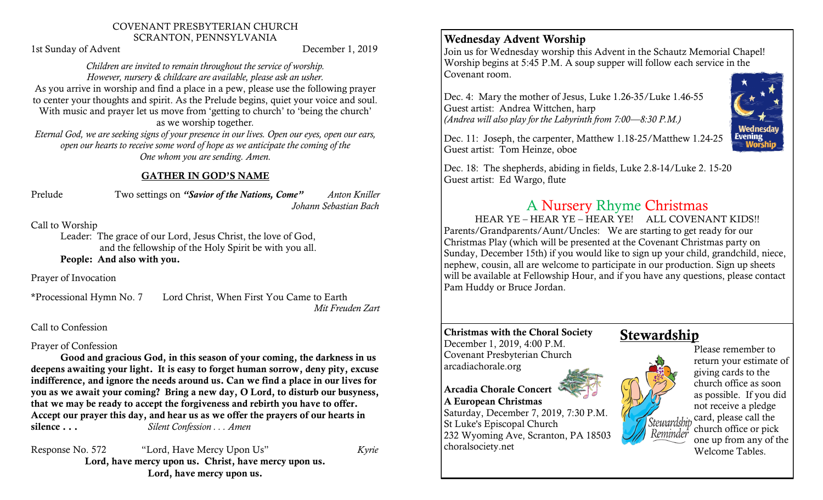## COVENANT PRESBYTERIAN CHURCH SCRANTON, PENNSYLVANIA

1st Sunday of Advent 1, 2019

### *Children are invited to remain throughout the service of worship. However, nursery & childcare are available, please ask an usher.*

As you arrive in worship and find a place in a pew, please use the following prayer to center your thoughts and spirit. As the Prelude begins, quiet your voice and soul. With music and prayer let us move from 'getting to church' to 'being the church'

as we worship together*.*

*Eternal God, we are seeking signs of your presence in our lives. Open our eyes, open our ears, open our hearts to receive some word of hope as we anticipate the coming of the One whom you are sending. Amen.* 

## **GATHER IN GOD'S NAME**

| Prelude | Two settings on "Savior of the Nations, Come" | <b>Anton Kniller</b>  |
|---------|-----------------------------------------------|-----------------------|
|         |                                               | Johann Sebastian Bach |

Call to Worship

Leader: The grace of our Lord, Jesus Christ, the love of God, and the fellowship of the Holy Spirit be with you all. **People: And also with you.**

Prayer of Invocation

\*Processional Hymn No. 7 Lord Christ, When First You Came to Earth *Mit Freuden Zart*

## Call to Confession

## Prayer of Confession

**Good and gracious God, in this season of your coming, the darkness in us deepens awaiting your light. It is easy to forget human sorrow, deny pity, excuse indifference, and ignore the needs around us. Can we find a place in our lives for you as we await your coming? Bring a new day, O Lord, to disturb our busyness, that we may be ready to accept the forgiveness and rebirth you have to offer. Accept our prayer this day, and hear us as we offer the prayers of our hearts in silence . . .** *Silent Confession . . . Amen*

Response No. 572 "Lord, Have Mercy Upon Us" *Kyrie* **Lord, have mercy upon us. Christ, have mercy upon us. Lord, have mercy upon us.**

## **Wednesday Advent Worship**

Join us for Wednesday worship this Advent in the Schautz Memorial Chapel! Worship begins at 5:45 P.M. A soup supper will follow each service in the Covenant room.

Dec. 4: Mary the mother of Jesus, Luke 1.26-35/Luke 1.46-55 Guest artist: Andrea Wittchen, harp *(Andrea will also play for the Labyrinth from 7:00—8:30 P.M.)*



Dec. 11: Joseph, the carpenter, Matthew 1.18-25/Matthew 1.24-25 Guest artist: Tom Heinze, oboe

Dec. 18: The shepherds, abiding in fields, Luke 2.8-14/Luke 2. 15-20 Guest artist: Ed Wargo, flute

## A Nursery Rhyme Christmas

HEAR YE – HEAR YE – HEAR YE! ALL COVENANT KIDS!! Parents/Grandparents/Aunt/Uncles: We are starting to get ready for our Christmas Play (which will be presented at the Covenant Christmas party on Sunday, December 15th) if you would like to sign up your child, grandchild, niece, nephew, cousin, all are welcome to participate in our production. Sign up sheets will be available at Fellowship Hour, and if you have any questions, please contact Pam Huddy or Bruce Jordan.

**Christmas with the Choral Society** December 1, 2019, 4:00 P.M. Covenant Presbyterian Church arcadiachorale.org

## **Arcadia Chorale Concert A European Christmas**

Saturday, December 7, 2019, 7:30 P.M. St Luke's Episcopal Church 232 Wyoming Ave, Scranton, PA 18503 choralsociety.net

## **Stewardship**



Please remember to return your estimate of giving cards to the church office as soon as possible. If you did not receive a pledge Stewardship card, please call the church office or pick one up from any of the Welcome Tables.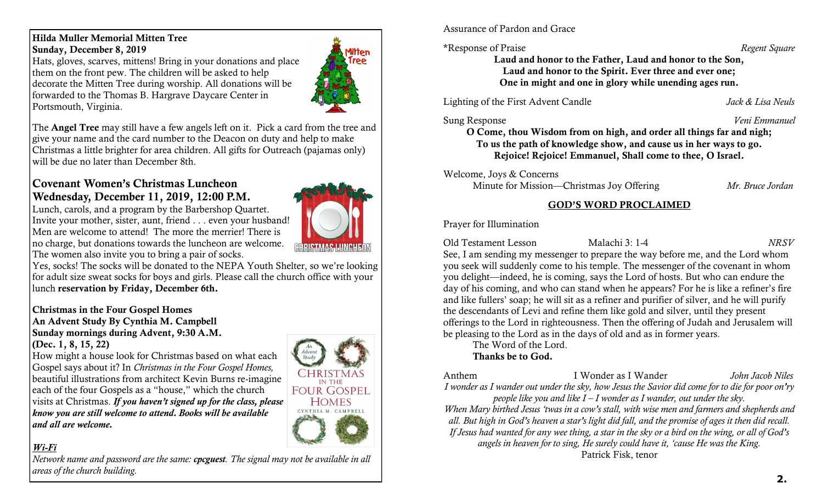## **Hilda Muller Memorial Mitten Tree Sunday, December 8, 2019**

Hats, gloves, scarves, mittens! Bring in your donations and place them on the front pew. The children will be asked to help decorate the Mitten Tree during worship. All donations will be forwarded to the Thomas B. Hargrave Daycare Center in Portsmouth, Virginia.

The **Angel Tree** may still have a few angels left on it. Pick a card from the tree and give your name and the card number to the Deacon on duty and help to make Christmas a little brighter for area children. All gifts for Outreach (pajamas only) will be due no later than December 8th.

## **Covenant Women's Christmas Luncheon Wednesday, December 11, 2019, 12:00 P.M.**

Lunch, carols, and a program by the Barbershop Quartet. Invite your mother, sister, aunt, friend . . . even your husband! Men are welcome to attend! The more the merrier! There is no charge, but donations towards the luncheon are welcome. The women also invite you to bring a pair of socks.



**litten** Tree

Yes, socks! The socks will be donated to the NEPA Youth Shelter, so we're looking for adult size sweat socks for boys and girls. Please call the church office with your lunch **reservation by Friday, December 6th.**

## **Christmas in the Four Gospel Homes An Advent Study By Cynthia M. Campbell Sunday mornings during Advent, 9:30 A.M. (Dec. 1, 8, 15, 22)**

How might a house look for Christmas based on what each Gospel says about it? In *Christmas in the Four Gospel Homes,* beautiful illustrations from architect Kevin Burns re-imagine each of the four Gospels as a "house," which the church visits at Christmas. *If you haven't signed up for the class, please know you are still welcome to attend. Books will be available and all are welcome.*



## *Wi-Fi*

*Network name and password are the same: cpcguest. The signal may not be available in all areas of the church building.* 

Assurance of Pardon and Grace

\*Response of Praise *Regent Square*

**Laud and honor to the Father, Laud and honor to the Son, Laud and honor to the Spirit. Ever three and ever one; One in might and one in glory while unending ages run.** 

Lighting of the First Advent Candle *Jack & Lisa Neuls*

Sung Response *Veni Emmanuel*

**O Come, thou Wisdom from on high, and order all things far and nigh; To us the path of knowledge show, and cause us in her ways to go. Rejoice! Rejoice! Emmanuel, Shall come to thee, O Israel.**

Welcome, Joys & Concerns

Minute for Mission—Christmas Joy Offering *Mr. Bruce Jordan*

## **GOD'S WORD PROCLAIMED**

Prayer for Illumination

Old Testament Lesson Malachi 3: 1-4 *NRSV*

See, I am sending my messenger to prepare the way before me, and the Lord whom you seek will suddenly come to his temple. The messenger of the covenant in whom you delight—indeed, he is coming, says the Lord of hosts. But who can endure the day of his coming, and who can stand when he appears? For he is like a refiner's fire and like fullers' soap; he will sit as a refiner and purifier of silver, and he will purify the descendants of Levi and refine them like gold and silver, until they present offerings to the Lord in righteousness. Then the offering of Judah and Jerusalem will be pleasing to the Lord as in the days of old and as in former years.

The Word of the Lord. **Thanks be to God.**

Anthem I Wonder as I Wander *John Jacob Niles I wonder as I wander out under the sky, how Jesus the Savior did come for to die for poor on'ry people like you and like I – I wonder as I wander, out under the sky.* 

*When Mary birthed Jesus 'twas in a cow's stall, with wise men and farmers and shepherds and all. But high in God's heaven a star's light did fall, and the promise of ages it then did recall. If Jesus had wanted for any wee thing, a star in the sky or a bird on the wing, or all of God's angels in heaven for to sing, He surely could have it, 'cause He was the King.*

Patrick Fisk, tenor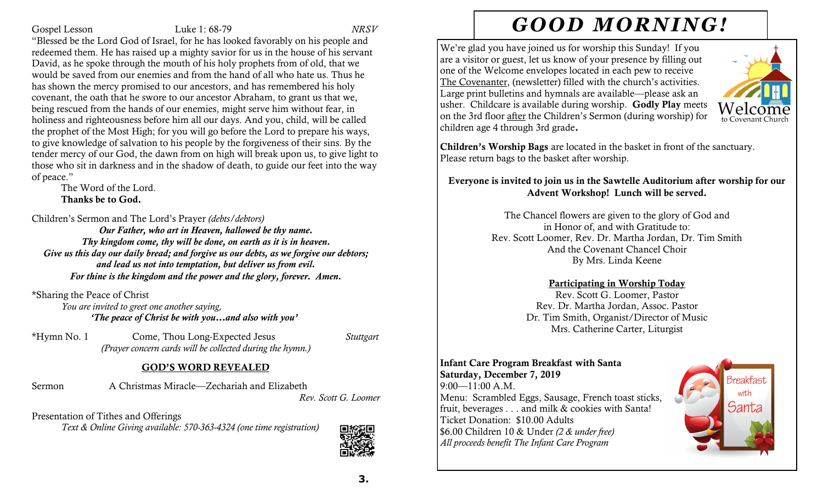Gospel Lesson Luke 1: 68-79 *NRSV*

"Blessed be the Lord God of Israel, for he has looked favorably on his people and redeemed them. He has raised up a mighty savior for us in the house of his servant David, as he spoke through the mouth of his holy prophets from of old, that we would be saved from our enemies and from the hand of all who hate us. Thus he has shown the mercy promised to our ancestors, and has remembered his holy covenant, the oath that he swore to our ancestor Abraham, to grant us that we, being rescued from the hands of our enemies, might serve him without fear, in holiness and righteousness before him all our days. And you, child, will be called the prophet of the Most High; for you will go before the Lord to prepare his ways, to give knowledge of salvation to his people by the forgiveness of their sins. By the tender mercy of our God, the dawn from on high will break upon us, to give light to those who sit in darkness and in the shadow of death, to guide our feet into the way of peace."

The Word of the Lord. **Thanks be to God.**

Children's Sermon and The Lord's Prayer *(debts/debtors)*

*Our Father, who art in Heaven, hallowed be thy name. Thy kingdom come, thy will be done, on earth as it is in heaven. Give us this day our daily bread; and forgive us our debts, as we forgive our debtors; and lead us not into temptation, but deliver us from evil. For thine is the kingdom and the power and the glory, forever. Amen.*

\*Sharing the Peace of Christ

*You are invited to greet one another saying, 'The peace of Christ be with you…and also with you'*

\*Hymn No. 1 Come, Thou Long-Expected Jesus *Stuttgart (Prayer concern cards will be collected during the hymn.)*

## **GOD'S WORD REVEALED**

Sermon A Christmas Miracle—Zechariah and Elizabeth

*Rev. Scott G. Loomer*

Presentation of Tithes and Offerings *Text & Online Giving available: 570-363-4324 (one time registration)*



# *GOOD MORNING!*

We're glad you have joined us for worship this Sunday! If you are a visitor or guest, let us know of your presence by filling out one of the Welcome envelopes located in each pew to receive The Covenanter, (newsletter) filled with the church's activities. Large print bulletins and hymnals are available—please ask an usher. Childcare is available during worship. **Godly Play** meets on the 3rd floor after the Children's Sermon (during worship) for children age 4 through 3rd grade**.**



**Children's Worship Bags** are located in the basket in front of the sanctuary. Please return bags to the basket after worship.

## **Everyone is invited to join us in the Sawtelle Auditorium after worship for our Advent Workshop! Lunch will be served.**

The Chancel flowers are given to the glory of God and in Honor of, and with Gratitude to: Rev. Scott Loomer, Rev. Dr. Martha Jordan, Dr. Tim Smith And the Covenant Chancel Choir By Mrs. Linda Keene

## **Participating in Worship Today**

Rev. Scott G. Loomer, Pastor Rev. Dr. Martha Jordan, Assoc. Pastor Dr. Tim Smith, Organist/Director of Music Mrs. Catherine Carter, Liturgist

## **Infant Care Program Breakfast with Santa**

**Saturday, December 7, 2019**  $9:00-11:00$  A.M. Menu: Scrambled Eggs, Sausage, French toast sticks, fruit, beverages . . . and milk & cookies with Santa! Ticket Donation: \$10.00 Adults \$6.00 Children 10 & Under *(2 & under free) All proceeds benefit The Infant Care Program*